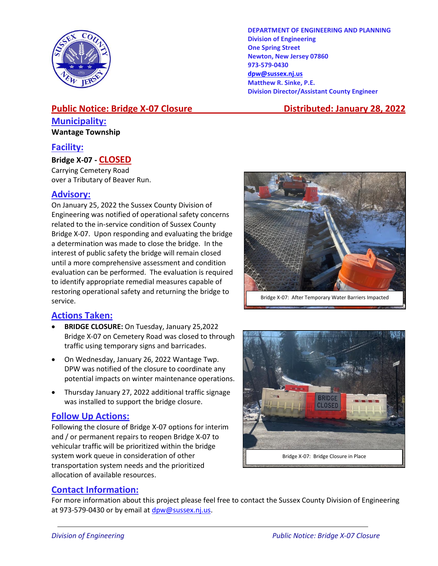

#### **DEPARTMENT OF ENGINEERING AND PLANNING Division of Engineering One Spring Street Newton, New Jersey 07860 973-579-0430 [dpw@sussex.nj.us](mailto:dpw@sussex.nj.us) Matthew R. Sinke, P.E. Division Director/Assistant County Engineer**

## **Public Notice: Bridge X-07 Closure \_\_\_\_\_\_\_\_\_\_ Distributed: January 28, 2022 Municipality:**

### **Wantage Township**

### **Facility:**

#### **Bridge X-07 - CLOSED**

Carrying Cemetery Road over a Tributary of Beaver Run.

### **Advisory:**

On January 25, 2022 the Sussex County Division of Engineering was notified of operational safety concerns related to the in-service condition of Sussex County Bridge X-07. Upon responding and evaluating the bridge a determination was made to close the bridge. In the interest of public safety the bridge will remain closed until a more comprehensive assessment and condition evaluation can be performed. The evaluation is required to identify appropriate remedial measures capable of restoring operational safety and returning the bridge to service.

### **Actions Taken:**

- **BRIDGE CLOSURE:** On Tuesday, January 25,2022 Bridge X-07 on Cemetery Road was closed to through traffic using temporary signs and barricades.
- On Wednesday, January 26, 2022 Wantage Twp. DPW was notified of the closure to coordinate any potential impacts on winter maintenance operations.
- Thursday January 27, 2022 additional traffic signage was installed to support the bridge closure.

#### **Follow Up Actions:**

Following the closure of Bridge X-07 options for interim and / or permanent repairs to reopen Bridge X-07 to vehicular traffic will be prioritized within the bridge system work queue in consideration of other transportation system needs and the prioritized allocation of available resources.





### **Contact Information:**

For more information about this project please feel free to contact the Sussex County Division of Engineering at 973-579-0430 or by email at [dpw@sussex.nj.us.](mailto:dpw@sussex.nj.us)